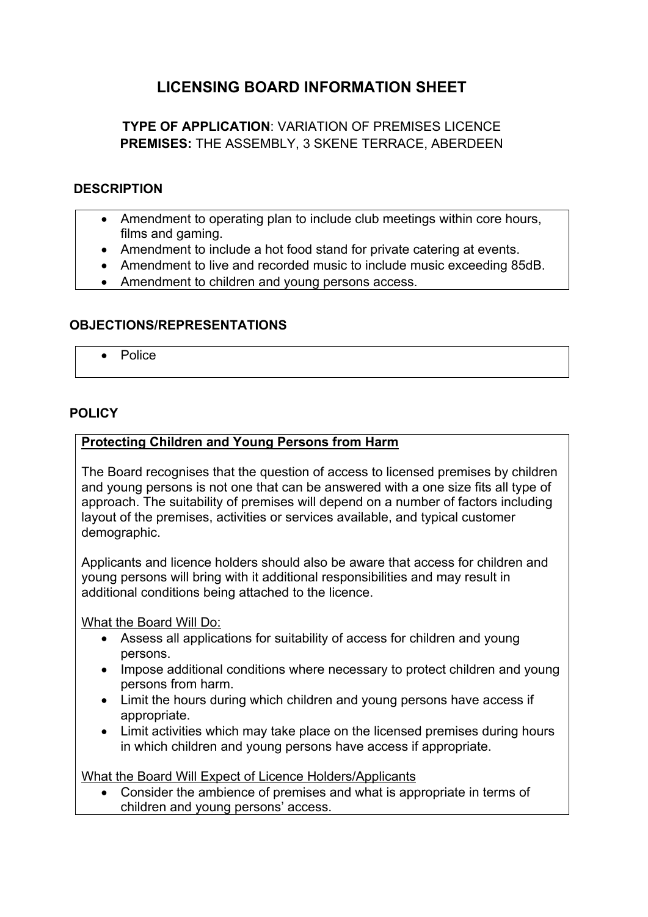# **LICENSING BOARD INFORMATION SHEET**

## **TYPE OF APPLICATION**: VARIATION OF PREMISES LICENCE **PREMISES:** THE ASSEMBLY, 3 SKENE TERRACE, ABERDEEN

#### **DESCRIPTION**

- Amendment to operating plan to include club meetings within core hours, films and gaming.
- Amendment to include a hot food stand for private catering at events.
- Amendment to live and recorded music to include music exceeding 85dB.
- Amendment to children and young persons access.

### **OBJECTIONS/REPRESENTATIONS**

 $\bullet$  Police

### **POLICY**

### **Protecting Children and Young Persons from Harm**

The Board recognises that the question of access to licensed premises by children and young persons is not one that can be answered with a one size fits all type of approach. The suitability of premises will depend on a number of factors including layout of the premises, activities or services available, and typical customer demographic.

Applicants and licence holders should also be aware that access for children and young persons will bring with it additional responsibilities and may result in additional conditions being attached to the licence.

What the Board Will Do:

- Assess all applications for suitability of access for children and young persons.
- Impose additional conditions where necessary to protect children and young persons from harm.
- Limit the hours during which children and young persons have access if appropriate.
- Limit activities which may take place on the licensed premises during hours in which children and young persons have access if appropriate.

What the Board Will Expect of Licence Holders/Applicants

 Consider the ambience of premises and what is appropriate in terms of children and young persons' access.